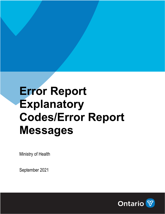## **Error Report Explanatory Codes/Error Report Messages**

Ministry of Health

September 2021

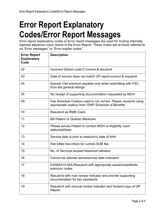## **Error Report Explanatory Codes/Error Report Messages**

Error report explanatory codes or Error report messages are used for routing internally rejected electronic input claims to the Error Report. These codes are at times referred to as "Error messages" or "Error explan codes".

| <b>Error Report</b><br><b>Explanatory</b><br>Code | <b>Description</b>                                                                                                    |
|---------------------------------------------------|-----------------------------------------------------------------------------------------------------------------------|
| 02                                                | Incorrect District code 0 Correct & resubmit                                                                          |
| 03                                                | Date of service does not match OP report-correct & resubmit                                                           |
| 04                                                | Special Visit premium payable only when submitting with FSC<br>from the general listings                              |
| 05                                                | No receipt of supporting documentation requested by MOH                                                               |
| 09                                                | Fee Schedule Code(s) used is not correct. Please resubmit using<br>appropriate code(s) from OHIP Schedule of Benefits |
| 10                                                | <b>Resubmit as RMB Claim</b>                                                                                          |
| 11                                                | <b>Bill Patient or Quebec Medicare</b>                                                                                |
| 12                                                | Please advise Patient to contact MOH re eligibility / card<br>status/address                                          |
| 13                                                | Service date is prior to newborn's date of birth                                                                      |
| 14                                                | Fee billed low-check for current SOB fee                                                                              |
| 15                                                | No. of Services exceed Maximum allowed                                                                                |
| 16                                                | Cannot be claimed alone/service date mismatch                                                                         |
| 17                                                | E409/E410 N/A-Resubmit with appropriate assist/anaesthetic<br>premium codes                                           |
| 18                                                | Resubmit with man review indicator and provide supporting<br>documentation for two assistants                         |
| 19                                                | Resubmit with manual review indicator and forward copy of OP<br>Report                                                |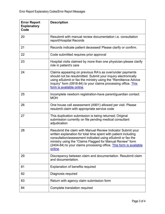| <b>Error Report</b><br><b>Explanatory</b><br>Code | <b>Description</b>                                                                                                                                                                                                                                                                                                                          |
|---------------------------------------------------|---------------------------------------------------------------------------------------------------------------------------------------------------------------------------------------------------------------------------------------------------------------------------------------------------------------------------------------------|
| 20                                                | Resubmit with manual review documentation <i>i.e.</i> consultation<br>report/Hospital Records                                                                                                                                                                                                                                               |
| 21                                                | Records indicate patient deceased/ Please clarify or confirm.                                                                                                                                                                                                                                                                               |
| 22                                                | Code submitted requires prior approval                                                                                                                                                                                                                                                                                                      |
| 23                                                | Hospital visits claimed by more than one physician-please clarify<br>role in patient's care                                                                                                                                                                                                                                                 |
| 24                                                | Claims appearing on previous RA's as over/under payments<br>should not be resubmitted. Submit your inquiry electronically<br>using eSubmit or fax the ministry using the "Remittance Advice<br>Inquiry" form (0918-84) to your claims processing office. This<br>form is available online.                                                  |
| 25                                                | Incomplete newborn registration-have parent/guardian contact<br><b>MOH</b>                                                                                                                                                                                                                                                                  |
| 26                                                | One house call assessment (A901) allowed per visit. Please<br>resubmit claim with appropriate service code                                                                                                                                                                                                                                  |
| 27                                                | This duplication submission is being returned; Original<br>submission currently on file pending medical consultant<br>adjudication                                                                                                                                                                                                          |
| 28                                                | Resubmit the claim with Manual Review Indicator Submit your<br>written explanation for total time spent with patient including<br>consultation/assessment indicated using eSubmit or fax the<br>ministry using the "Claims Flagged for Manual Review" form<br>(2404-84) to your claims processing office. This form is available<br>online. |
| 29                                                | Discrepancy between claim and documentation. Resubmit claim<br>and documentation.                                                                                                                                                                                                                                                           |
| 81                                                | <b>Explanation of benefits required</b>                                                                                                                                                                                                                                                                                                     |
| 82                                                | Diagnosis required                                                                                                                                                                                                                                                                                                                          |
| 83                                                | Return with agency claim submission form                                                                                                                                                                                                                                                                                                    |
| 84                                                | Complete translation required                                                                                                                                                                                                                                                                                                               |